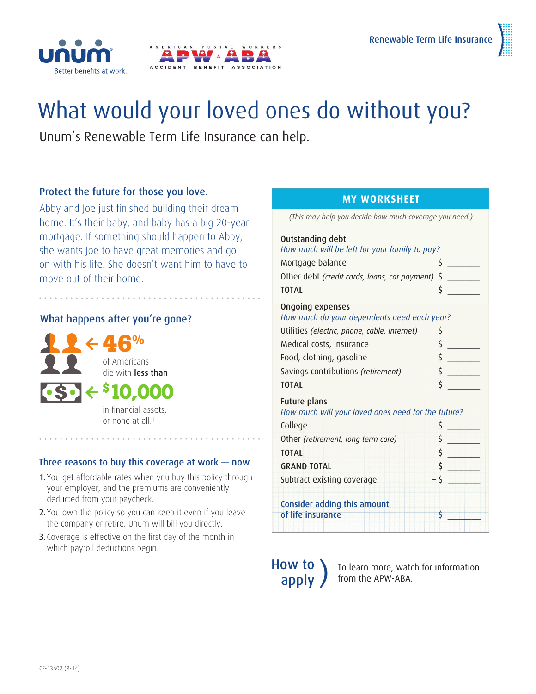

# What would your loved ones do without you?

Unum's Renewable Term Life Insurance can help.

# Protect the future for those you love.

Abby and Joe just finished building their dream home. It's their baby, and baby has a big 20-year mortgage. If something should happen to Abby, she wants Joe to have great memories and go on with his life. She doesn't want him to have to move out of their home.

# What happens after you're gone?



in financial assets, or none at all.1

## Three reasons to buy this coverage at work — now

- 1. You get affordable rates when you buy this policy through your employer, and the premiums are conveniently deducted from your paycheck.
- 2. You own the policy so you can keep it even if you leave the company or retire. Unum will bill you directly.
- 3. Coverage is effective on the first day of the month in which payroll deductions begin.

#### **MY WORKSHEET**

| (This may help you decide how much coverage you need.)             |    |
|--------------------------------------------------------------------|----|
| Outstanding debt                                                   |    |
| How much will be left for your family to pay?                      |    |
| Mortgage balance                                                   | \$ |
| Other debt (credit cards, loans, car payment)                      | \$ |
| <b>TOTAL</b>                                                       | \$ |
| Ongoing expenses<br>How much do your dependents need each year?    |    |
| Utilities (electric, phone, cable, Internet)                       | \$ |
| Medical costs, insurance                                           | \$ |
| Food, clothing, gasoline                                           | \$ |
| Savings contributions (retirement)                                 | \$ |
| <b>TOTAL</b>                                                       | \$ |
| Future plans<br>How much will your loved ones need for the future? |    |
| College                                                            | \$ |
| Other (retirement, long term care)                                 | \$ |
| <b>TOTAL</b>                                                       | \$ |
| <b>GRAND TOTAL</b>                                                 | \$ |
| Subtract existing coverage                                         | \$ |
| Consider adding this amount<br>of life insurance                   | \$ |
|                                                                    |    |



**OW TO** To learn more, watch for information<br>**apply** from the APW-ABA. from the APW-ABA.